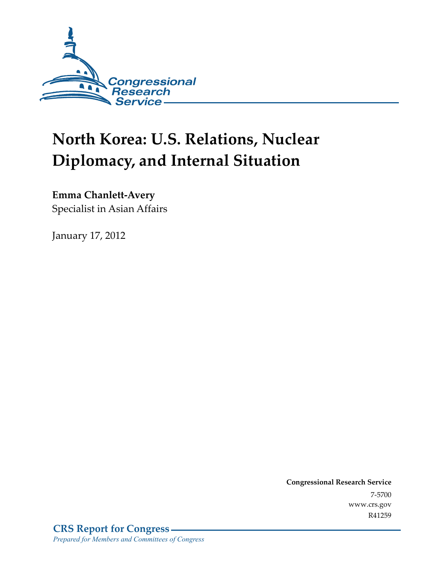

# **North Korea: U.S. Relations, Nuclear Diplomacy, and Internal Situation**

**Emma Chanlett-Avery** 

Specialist in Asian Affairs

January 17, 2012

**Congressional Research Service**  7-5700 www.crs.gov R41259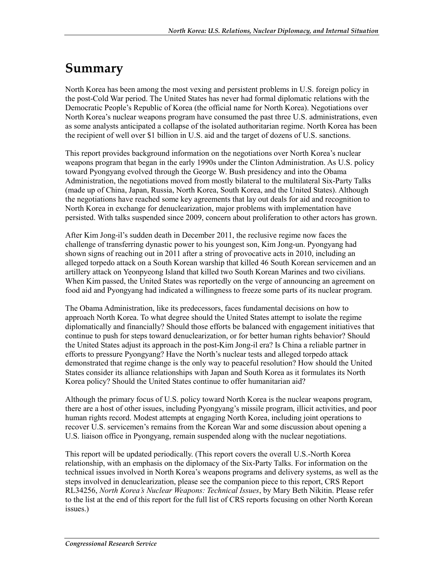## **Summary**

North Korea has been among the most vexing and persistent problems in U.S. foreign policy in the post-Cold War period. The United States has never had formal diplomatic relations with the Democratic People's Republic of Korea (the official name for North Korea). Negotiations over North Korea's nuclear weapons program have consumed the past three U.S. administrations, even as some analysts anticipated a collapse of the isolated authoritarian regime. North Korea has been the recipient of well over \$1 billion in U.S. aid and the target of dozens of U.S. sanctions.

This report provides background information on the negotiations over North Korea's nuclear weapons program that began in the early 1990s under the Clinton Administration. As U.S. policy toward Pyongyang evolved through the George W. Bush presidency and into the Obama Administration, the negotiations moved from mostly bilateral to the multilateral Six-Party Talks (made up of China, Japan, Russia, North Korea, South Korea, and the United States). Although the negotiations have reached some key agreements that lay out deals for aid and recognition to North Korea in exchange for denuclearization, major problems with implementation have persisted. With talks suspended since 2009, concern about proliferation to other actors has grown.

After Kim Jong-il's sudden death in December 2011, the reclusive regime now faces the challenge of transferring dynastic power to his youngest son, Kim Jong-un. Pyongyang had shown signs of reaching out in 2011 after a string of provocative acts in 2010, including an alleged torpedo attack on a South Korean warship that killed 46 South Korean servicemen and an artillery attack on Yeonpyeong Island that killed two South Korean Marines and two civilians. When Kim passed, the United States was reportedly on the verge of announcing an agreement on food aid and Pyongyang had indicated a willingness to freeze some parts of its nuclear program.

The Obama Administration, like its predecessors, faces fundamental decisions on how to approach North Korea. To what degree should the United States attempt to isolate the regime diplomatically and financially? Should those efforts be balanced with engagement initiatives that continue to push for steps toward denuclearization, or for better human rights behavior? Should the United States adjust its approach in the post-Kim Jong-il era? Is China a reliable partner in efforts to pressure Pyongyang? Have the North's nuclear tests and alleged torpedo attack demonstrated that regime change is the only way to peaceful resolution? How should the United States consider its alliance relationships with Japan and South Korea as it formulates its North Korea policy? Should the United States continue to offer humanitarian aid?

Although the primary focus of U.S. policy toward North Korea is the nuclear weapons program, there are a host of other issues, including Pyongyang's missile program, illicit activities, and poor human rights record. Modest attempts at engaging North Korea, including joint operations to recover U.S. servicemen's remains from the Korean War and some discussion about opening a U.S. liaison office in Pyongyang, remain suspended along with the nuclear negotiations.

This report will be updated periodically. (This report covers the overall U.S.-North Korea relationship, with an emphasis on the diplomacy of the Six-Party Talks. For information on the technical issues involved in North Korea's weapons programs and delivery systems, as well as the steps involved in denuclearization, please see the companion piece to this report, CRS Report RL34256, *North Korea's Nuclear Weapons: Technical Issues*, by Mary Beth Nikitin. Please refer to the list at the end of this report for the full list of CRS reports focusing on other North Korean issues.)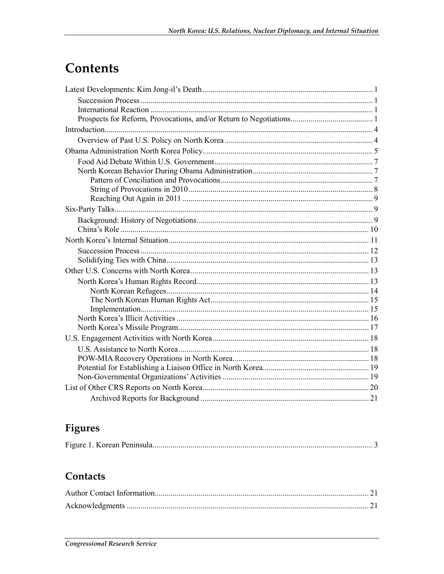# Contents

### Figures

|--|--|

### Contacts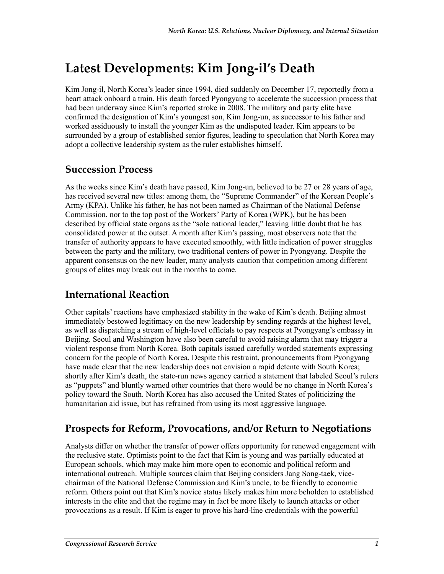## **Latest Developments: Kim Jong-il's Death**

Kim Jong-il, North Korea's leader since 1994, died suddenly on December 17, reportedly from a heart attack onboard a train. His death forced Pyongyang to accelerate the succession process that had been underway since Kim's reported stroke in 2008. The military and party elite have confirmed the designation of Kim's youngest son, Kim Jong-un, as successor to his father and worked assiduously to install the younger Kim as the undisputed leader. Kim appears to be surrounded by a group of established senior figures, leading to speculation that North Korea may adopt a collective leadership system as the ruler establishes himself.

#### **Succession Process**

As the weeks since Kim's death have passed, Kim Jong-un, believed to be 27 or 28 years of age, has received several new titles: among them, the "Supreme Commander" of the Korean People's Army (KPA). Unlike his father, he has not been named as Chairman of the National Defense Commission, nor to the top post of the Workers' Party of Korea (WPK), but he has been described by official state organs as the "sole national leader," leaving little doubt that he has consolidated power at the outset. A month after Kim's passing, most observers note that the transfer of authority appears to have executed smoothly, with little indication of power struggles between the party and the military, two traditional centers of power in Pyongyang. Despite the apparent consensus on the new leader, many analysts caution that competition among different groups of elites may break out in the months to come.

### **International Reaction**

Other capitals' reactions have emphasized stability in the wake of Kim's death. Beijing almost immediately bestowed legitimacy on the new leadership by sending regards at the highest level, as well as dispatching a stream of high-level officials to pay respects at Pyongyang's embassy in Beijing. Seoul and Washington have also been careful to avoid raising alarm that may trigger a violent response from North Korea. Both capitals issued carefully worded statements expressing concern for the people of North Korea. Despite this restraint, pronouncements from Pyongyang have made clear that the new leadership does not envision a rapid detente with South Korea; shortly after Kim's death, the state-run news agency carried a statement that labeled Seoul's rulers as "puppets" and bluntly warned other countries that there would be no change in North Korea's policy toward the South. North Korea has also accused the United States of politicizing the humanitarian aid issue, but has refrained from using its most aggressive language.

### **Prospects for Reform, Provocations, and/or Return to Negotiations**

Analysts differ on whether the transfer of power offers opportunity for renewed engagement with the reclusive state. Optimists point to the fact that Kim is young and was partially educated at European schools, which may make him more open to economic and political reform and international outreach. Multiple sources claim that Beijing considers Jang Song-taek, vicechairman of the National Defense Commission and Kim's uncle, to be friendly to economic reform. Others point out that Kim's novice status likely makes him more beholden to established interests in the elite and that the regime may in fact be more likely to launch attacks or other provocations as a result. If Kim is eager to prove his hard-line credentials with the powerful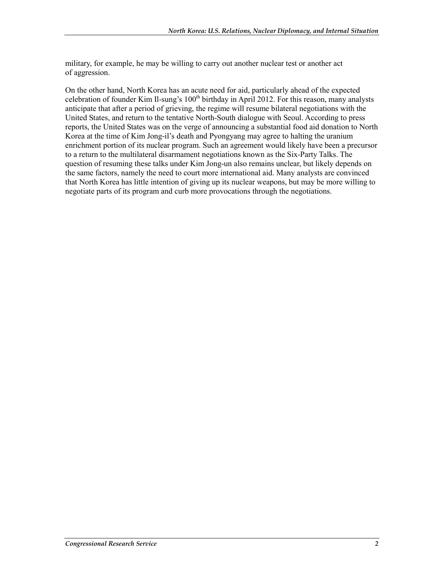military, for example, he may be willing to carry out another nuclear test or another act of aggression.

On the other hand, North Korea has an acute need for aid, particularly ahead of the expected celebration of founder Kim Il-sung's 100<sup>th</sup> birthday in April 2012. For this reason, many analysts anticipate that after a period of grieving, the regime will resume bilateral negotiations with the United States, and return to the tentative North-South dialogue with Seoul. According to press reports, the United States was on the verge of announcing a substantial food aid donation to North Korea at the time of Kim Jong-il's death and Pyongyang may agree to halting the uranium enrichment portion of its nuclear program. Such an agreement would likely have been a precursor to a return to the multilateral disarmament negotiations known as the Six-Party Talks. The question of resuming these talks under Kim Jong-un also remains unclear, but likely depends on the same factors, namely the need to court more international aid. Many analysts are convinced that North Korea has little intention of giving up its nuclear weapons, but may be more willing to negotiate parts of its program and curb more provocations through the negotiations.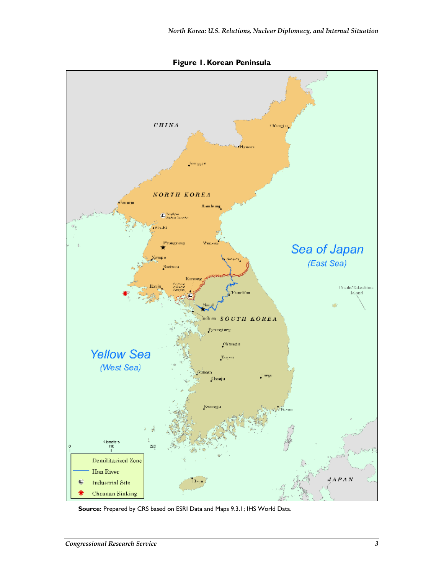

**Figure 1. Korean Peninsula** 

**Source:** Prepared by CRS based on ESRI Data and Maps 9.3.1; IHS World Data.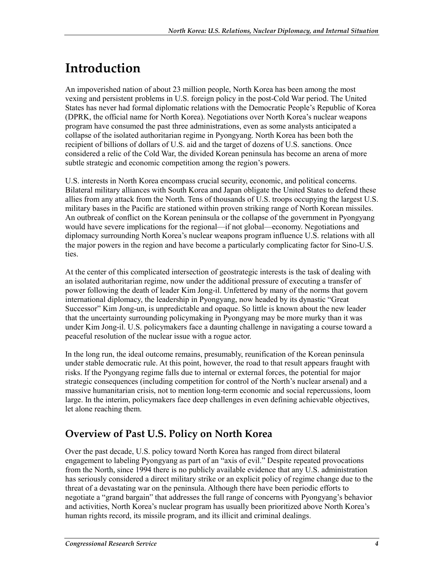# **Introduction**

An impoverished nation of about 23 million people, North Korea has been among the most vexing and persistent problems in U.S. foreign policy in the post-Cold War period. The United States has never had formal diplomatic relations with the Democratic People's Republic of Korea (DPRK, the official name for North Korea). Negotiations over North Korea's nuclear weapons program have consumed the past three administrations, even as some analysts anticipated a collapse of the isolated authoritarian regime in Pyongyang. North Korea has been both the recipient of billions of dollars of U.S. aid and the target of dozens of U.S. sanctions. Once considered a relic of the Cold War, the divided Korean peninsula has become an arena of more subtle strategic and economic competition among the region's powers.

U.S. interests in North Korea encompass crucial security, economic, and political concerns. Bilateral military alliances with South Korea and Japan obligate the United States to defend these allies from any attack from the North. Tens of thousands of U.S. troops occupying the largest U.S. military bases in the Pacific are stationed within proven striking range of North Korean missiles. An outbreak of conflict on the Korean peninsula or the collapse of the government in Pyongyang would have severe implications for the regional—if not global—economy. Negotiations and diplomacy surrounding North Korea's nuclear weapons program influence U.S. relations with all the major powers in the region and have become a particularly complicating factor for Sino-U.S. ties.

At the center of this complicated intersection of geostrategic interests is the task of dealing with an isolated authoritarian regime, now under the additional pressure of executing a transfer of power following the death of leader Kim Jong-il. Unfettered by many of the norms that govern international diplomacy, the leadership in Pyongyang, now headed by its dynastic "Great Successor" Kim Jong-un, is unpredictable and opaque. So little is known about the new leader that the uncertainty surrounding policymaking in Pyongyang may be more murky than it was under Kim Jong-il. U.S. policymakers face a daunting challenge in navigating a course toward a peaceful resolution of the nuclear issue with a rogue actor.

In the long run, the ideal outcome remains, presumably, reunification of the Korean peninsula under stable democratic rule. At this point, however, the road to that result appears fraught with risks. If the Pyongyang regime falls due to internal or external forces, the potential for major strategic consequences (including competition for control of the North's nuclear arsenal) and a massive humanitarian crisis, not to mention long-term economic and social repercussions, loom large. In the interim, policymakers face deep challenges in even defining achievable objectives, let alone reaching them.

### **Overview of Past U.S. Policy on North Korea**

Over the past decade, U.S. policy toward North Korea has ranged from direct bilateral engagement to labeling Pyongyang as part of an "axis of evil." Despite repeated provocations from the North, since 1994 there is no publicly available evidence that any U.S. administration has seriously considered a direct military strike or an explicit policy of regime change due to the threat of a devastating war on the peninsula. Although there have been periodic efforts to negotiate a "grand bargain" that addresses the full range of concerns with Pyongyang's behavior and activities, North Korea's nuclear program has usually been prioritized above North Korea's human rights record, its missile program, and its illicit and criminal dealings.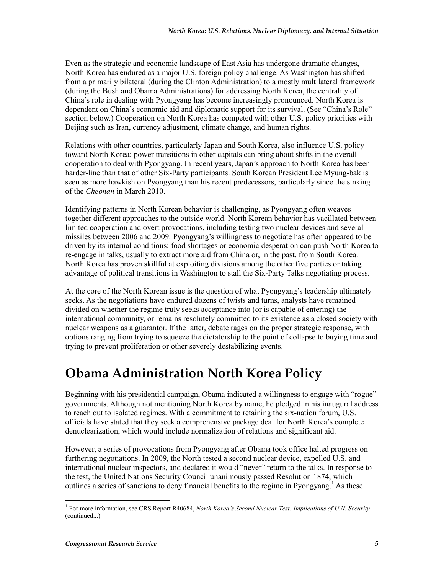Even as the strategic and economic landscape of East Asia has undergone dramatic changes, North Korea has endured as a major U.S. foreign policy challenge. As Washington has shifted from a primarily bilateral (during the Clinton Administration) to a mostly multilateral framework (during the Bush and Obama Administrations) for addressing North Korea, the centrality of China's role in dealing with Pyongyang has become increasingly pronounced. North Korea is dependent on China's economic aid and diplomatic support for its survival. (See "China's Role" section below.) Cooperation on North Korea has competed with other U.S. policy priorities with Beijing such as Iran, currency adjustment, climate change, and human rights.

Relations with other countries, particularly Japan and South Korea, also influence U.S. policy toward North Korea; power transitions in other capitals can bring about shifts in the overall cooperation to deal with Pyongyang. In recent years, Japan's approach to North Korea has been harder-line than that of other Six-Party participants. South Korean President Lee Myung-bak is seen as more hawkish on Pyongyang than his recent predecessors, particularly since the sinking of the *Cheonan* in March 2010.

Identifying patterns in North Korean behavior is challenging, as Pyongyang often weaves together different approaches to the outside world. North Korean behavior has vacillated between limited cooperation and overt provocations, including testing two nuclear devices and several missiles between 2006 and 2009. Pyongyang's willingness to negotiate has often appeared to be driven by its internal conditions: food shortages or economic desperation can push North Korea to re-engage in talks, usually to extract more aid from China or, in the past, from South Korea. North Korea has proven skillful at exploiting divisions among the other five parties or taking advantage of political transitions in Washington to stall the Six-Party Talks negotiating process.

At the core of the North Korean issue is the question of what Pyongyang's leadership ultimately seeks. As the negotiations have endured dozens of twists and turns, analysts have remained divided on whether the regime truly seeks acceptance into (or is capable of entering) the international community, or remains resolutely committed to its existence as a closed society with nuclear weapons as a guarantor. If the latter, debate rages on the proper strategic response, with options ranging from trying to squeeze the dictatorship to the point of collapse to buying time and trying to prevent proliferation or other severely destabilizing events.

## **Obama Administration North Korea Policy**

Beginning with his presidential campaign, Obama indicated a willingness to engage with "rogue" governments. Although not mentioning North Korea by name, he pledged in his inaugural address to reach out to isolated regimes. With a commitment to retaining the six-nation forum, U.S. officials have stated that they seek a comprehensive package deal for North Korea's complete denuclearization, which would include normalization of relations and significant aid.

However, a series of provocations from Pyongyang after Obama took office halted progress on furthering negotiations. In 2009, the North tested a second nuclear device, expelled U.S. and international nuclear inspectors, and declared it would "never" return to the talks. In response to the test, the United Nations Security Council unanimously passed Resolution 1874, which outlines a series of sanctions to deny financial benefits to the regime in Pyongyang.<sup>1</sup> As these

 1 For more information, see CRS Report R40684, *North Korea's Second Nuclear Test: Implications of U.N. Security*  (continued...)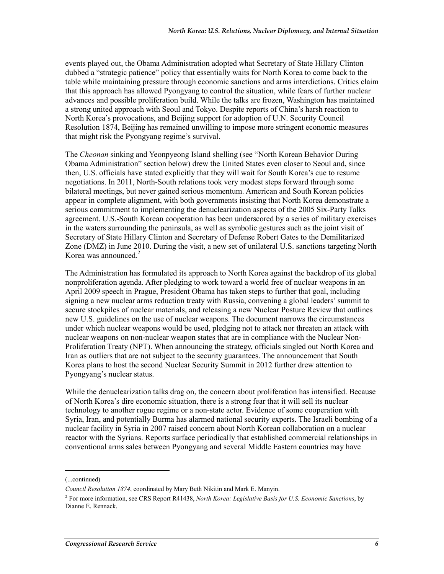events played out, the Obama Administration adopted what Secretary of State Hillary Clinton dubbed a "strategic patience" policy that essentially waits for North Korea to come back to the table while maintaining pressure through economic sanctions and arms interdictions. Critics claim that this approach has allowed Pyongyang to control the situation, while fears of further nuclear advances and possible proliferation build. While the talks are frozen, Washington has maintained a strong united approach with Seoul and Tokyo. Despite reports of China's harsh reaction to North Korea's provocations, and Beijing support for adoption of U.N. Security Council Resolution 1874, Beijing has remained unwilling to impose more stringent economic measures that might risk the Pyongyang regime's survival.

The *Cheonan* sinking and Yeonpyeong Island shelling (see "North Korean Behavior During Obama Administration" section below) drew the United States even closer to Seoul and, since then, U.S. officials have stated explicitly that they will wait for South Korea's cue to resume negotiations. In 2011, North-South relations took very modest steps forward through some bilateral meetings, but never gained serious momentum. American and South Korean policies appear in complete alignment, with both governments insisting that North Korea demonstrate a serious commitment to implementing the denuclearization aspects of the 2005 Six-Party Talks agreement. U.S.-South Korean cooperation has been underscored by a series of military exercises in the waters surrounding the peninsula, as well as symbolic gestures such as the joint visit of Secretary of State Hillary Clinton and Secretary of Defense Robert Gates to the Demilitarized Zone (DMZ) in June 2010. During the visit, a new set of unilateral U.S. sanctions targeting North Korea was announced.<sup>2</sup>

The Administration has formulated its approach to North Korea against the backdrop of its global nonproliferation agenda. After pledging to work toward a world free of nuclear weapons in an April 2009 speech in Prague, President Obama has taken steps to further that goal, including signing a new nuclear arms reduction treaty with Russia, convening a global leaders' summit to secure stockpiles of nuclear materials, and releasing a new Nuclear Posture Review that outlines new U.S. guidelines on the use of nuclear weapons. The document narrows the circumstances under which nuclear weapons would be used, pledging not to attack nor threaten an attack with nuclear weapons on non-nuclear weapon states that are in compliance with the Nuclear Non-Proliferation Treaty (NPT). When announcing the strategy, officials singled out North Korea and Iran as outliers that are not subject to the security guarantees. The announcement that South Korea plans to host the second Nuclear Security Summit in 2012 further drew attention to Pyongyang's nuclear status.

While the denuclearization talks drag on, the concern about proliferation has intensified. Because of North Korea's dire economic situation, there is a strong fear that it will sell its nuclear technology to another rogue regime or a non-state actor. Evidence of some cooperation with Syria, Iran, and potentially Burma has alarmed national security experts. The Israeli bombing of a nuclear facility in Syria in 2007 raised concern about North Korean collaboration on a nuclear reactor with the Syrians. Reports surface periodically that established commercial relationships in conventional arms sales between Pyongyang and several Middle Eastern countries may have

<sup>(...</sup>continued)

*Council Resolution 1874*, coordinated by Mary Beth Nikitin and Mark E. Manyin.

<sup>2</sup> For more information, see CRS Report R41438, *North Korea: Legislative Basis for U.S. Economic Sanctions*, by Dianne E. Rennack.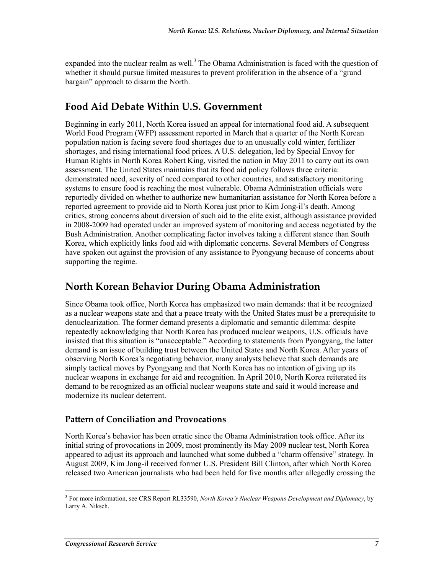expanded into the nuclear realm as well.<sup>3</sup> The Obama Administration is faced with the question of whether it should pursue limited measures to prevent proliferation in the absence of a "grand" bargain" approach to disarm the North.

### **Food Aid Debate Within U.S. Government**

Beginning in early 2011, North Korea issued an appeal for international food aid. A subsequent World Food Program (WFP) assessment reported in March that a quarter of the North Korean population nation is facing severe food shortages due to an unusually cold winter, fertilizer shortages, and rising international food prices. A U.S. delegation, led by Special Envoy for Human Rights in North Korea Robert King, visited the nation in May 2011 to carry out its own assessment. The United States maintains that its food aid policy follows three criteria: demonstrated need, severity of need compared to other countries, and satisfactory monitoring systems to ensure food is reaching the most vulnerable. Obama Administration officials were reportedly divided on whether to authorize new humanitarian assistance for North Korea before a reported agreement to provide aid to North Korea just prior to Kim Jong-il's death. Among critics, strong concerns about diversion of such aid to the elite exist, although assistance provided in 2008-2009 had operated under an improved system of monitoring and access negotiated by the Bush Administration. Another complicating factor involves taking a different stance than South Korea, which explicitly links food aid with diplomatic concerns. Several Members of Congress have spoken out against the provision of any assistance to Pyongyang because of concerns about supporting the regime.

#### **North Korean Behavior During Obama Administration**

Since Obama took office, North Korea has emphasized two main demands: that it be recognized as a nuclear weapons state and that a peace treaty with the United States must be a prerequisite to denuclearization. The former demand presents a diplomatic and semantic dilemma: despite repeatedly acknowledging that North Korea has produced nuclear weapons, U.S. officials have insisted that this situation is "unacceptable." According to statements from Pyongyang, the latter demand is an issue of building trust between the United States and North Korea. After years of observing North Korea's negotiating behavior, many analysts believe that such demands are simply tactical moves by Pyongyang and that North Korea has no intention of giving up its nuclear weapons in exchange for aid and recognition. In April 2010, North Korea reiterated its demand to be recognized as an official nuclear weapons state and said it would increase and modernize its nuclear deterrent.

#### **Pattern of Conciliation and Provocations**

North Korea's behavior has been erratic since the Obama Administration took office. After its initial string of provocations in 2009, most prominently its May 2009 nuclear test, North Korea appeared to adjust its approach and launched what some dubbed a "charm offensive" strategy. In August 2009, Kim Jong-il received former U.S. President Bill Clinton, after which North Korea released two American journalists who had been held for five months after allegedly crossing the

 3 For more information, see CRS Report RL33590, *North Korea's Nuclear Weapons Development and Diplomacy*, by Larry A. Niksch.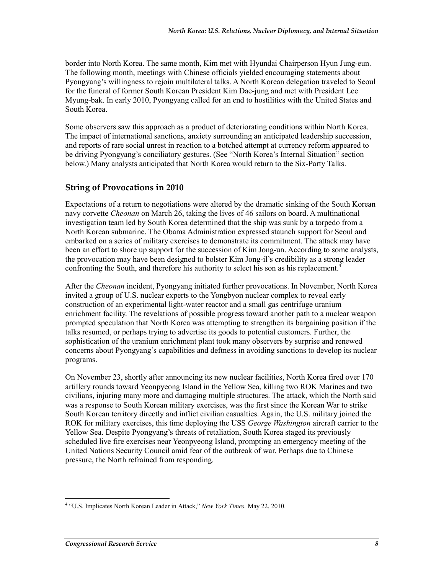border into North Korea. The same month, Kim met with Hyundai Chairperson Hyun Jung-eun. The following month, meetings with Chinese officials yielded encouraging statements about Pyongyang's willingness to rejoin multilateral talks. A North Korean delegation traveled to Seoul for the funeral of former South Korean President Kim Dae-jung and met with President Lee Myung-bak. In early 2010, Pyongyang called for an end to hostilities with the United States and South Korea.

Some observers saw this approach as a product of deteriorating conditions within North Korea. The impact of international sanctions, anxiety surrounding an anticipated leadership succession, and reports of rare social unrest in reaction to a botched attempt at currency reform appeared to be driving Pyongyang's conciliatory gestures. (See "North Korea's Internal Situation" section below.) Many analysts anticipated that North Korea would return to the Six-Party Talks.

#### **String of Provocations in 2010**

Expectations of a return to negotiations were altered by the dramatic sinking of the South Korean navy corvette *Cheonan* on March 26, taking the lives of 46 sailors on board. A multinational investigation team led by South Korea determined that the ship was sunk by a torpedo from a North Korean submarine. The Obama Administration expressed staunch support for Seoul and embarked on a series of military exercises to demonstrate its commitment. The attack may have been an effort to shore up support for the succession of Kim Jong-un. According to some analysts, the provocation may have been designed to bolster Kim Jong-il's credibility as a strong leader confronting the South, and therefore his authority to select his son as his replacement.<sup>4</sup>

After the *Cheonan* incident, Pyongyang initiated further provocations. In November, North Korea invited a group of U.S. nuclear experts to the Yongbyon nuclear complex to reveal early construction of an experimental light-water reactor and a small gas centrifuge uranium enrichment facility. The revelations of possible progress toward another path to a nuclear weapon prompted speculation that North Korea was attempting to strengthen its bargaining position if the talks resumed, or perhaps trying to advertise its goods to potential customers. Further, the sophistication of the uranium enrichment plant took many observers by surprise and renewed concerns about Pyongyang's capabilities and deftness in avoiding sanctions to develop its nuclear programs.

On November 23, shortly after announcing its new nuclear facilities, North Korea fired over 170 artillery rounds toward Yeonpyeong Island in the Yellow Sea, killing two ROK Marines and two civilians, injuring many more and damaging multiple structures. The attack, which the North said was a response to South Korean military exercises, was the first since the Korean War to strike South Korean territory directly and inflict civilian casualties. Again, the U.S. military joined the ROK for military exercises, this time deploying the USS *George Washington* aircraft carrier to the Yellow Sea. Despite Pyongyang's threats of retaliation, South Korea staged its previously scheduled live fire exercises near Yeonpyeong Island, prompting an emergency meeting of the United Nations Security Council amid fear of the outbreak of war. Perhaps due to Chinese pressure, the North refrained from responding.

<u>.</u>

<sup>&</sup>lt;sup>4</sup> "U.S. Implicates North Korean Leader in Attack," *New York Times*. May 22, 2010.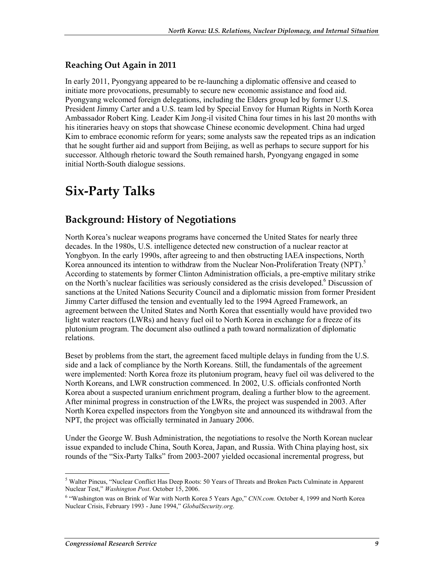#### **Reaching Out Again in 2011**

In early 2011, Pyongyang appeared to be re-launching a diplomatic offensive and ceased to initiate more provocations, presumably to secure new economic assistance and food aid. Pyongyang welcomed foreign delegations, including the Elders group led by former U.S. President Jimmy Carter and a U.S. team led by Special Envoy for Human Rights in North Korea Ambassador Robert King. Leader Kim Jong-il visited China four times in his last 20 months with his itineraries heavy on stops that showcase Chinese economic development. China had urged Kim to embrace economic reform for years; some analysts saw the repeated trips as an indication that he sought further aid and support from Beijing, as well as perhaps to secure support for his successor. Although rhetoric toward the South remained harsh, Pyongyang engaged in some initial North-South dialogue sessions.

## **Six-Party Talks**

### **Background: History of Negotiations**

North Korea's nuclear weapons programs have concerned the United States for nearly three decades. In the 1980s, U.S. intelligence detected new construction of a nuclear reactor at Yongbyon. In the early 1990s, after agreeing to and then obstructing IAEA inspections, North Korea announced its intention to withdraw from the Nuclear Non-Proliferation Treaty (NPT).<sup>5</sup> According to statements by former Clinton Administration officials, a pre-emptive military strike on the North's nuclear facilities was seriously considered as the crisis developed.<sup>6</sup> Discussion of sanctions at the United Nations Security Council and a diplomatic mission from former President Jimmy Carter diffused the tension and eventually led to the 1994 Agreed Framework, an agreement between the United States and North Korea that essentially would have provided two light water reactors (LWRs) and heavy fuel oil to North Korea in exchange for a freeze of its plutonium program. The document also outlined a path toward normalization of diplomatic relations.

Beset by problems from the start, the agreement faced multiple delays in funding from the U.S. side and a lack of compliance by the North Koreans. Still, the fundamentals of the agreement were implemented: North Korea froze its plutonium program, heavy fuel oil was delivered to the North Koreans, and LWR construction commenced. In 2002, U.S. officials confronted North Korea about a suspected uranium enrichment program, dealing a further blow to the agreement. After minimal progress in construction of the LWRs, the project was suspended in 2003. After North Korea expelled inspectors from the Yongbyon site and announced its withdrawal from the NPT, the project was officially terminated in January 2006.

Under the George W. Bush Administration, the negotiations to resolve the North Korean nuclear issue expanded to include China, South Korea, Japan, and Russia. With China playing host, six rounds of the "Six-Party Talks" from 2003-2007 yielded occasional incremental progress, but

<sup>1</sup> <sup>5</sup> Walter Pincus, "Nuclear Conflict Has Deep Roots: 50 Years of Threats and Broken Pacts Culminate in Apparent Nuclear Test," *Washington Post*. October 15, 2006.

<sup>&</sup>lt;sup>6</sup> "Washington was on Brink of War with North Korea 5 Years Ago," *CNN.com.* October 4, 1999 and North Korea Nuclear Crisis, February 1993 - June 1994," *GlobalSecurity.org*.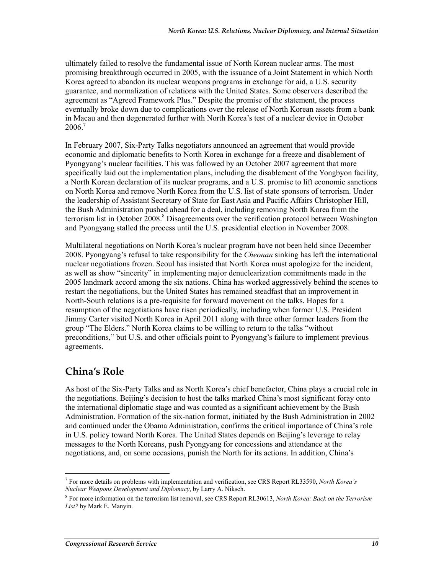ultimately failed to resolve the fundamental issue of North Korean nuclear arms. The most promising breakthrough occurred in 2005, with the issuance of a Joint Statement in which North Korea agreed to abandon its nuclear weapons programs in exchange for aid, a U.S. security guarantee, and normalization of relations with the United States. Some observers described the agreement as "Agreed Framework Plus." Despite the promise of the statement, the process eventually broke down due to complications over the release of North Korean assets from a bank in Macau and then degenerated further with North Korea's test of a nuclear device in October  $2006.7$ 

In February 2007, Six-Party Talks negotiators announced an agreement that would provide economic and diplomatic benefits to North Korea in exchange for a freeze and disablement of Pyongyang's nuclear facilities. This was followed by an October 2007 agreement that more specifically laid out the implementation plans, including the disablement of the Yongbyon facility, a North Korean declaration of its nuclear programs, and a U.S. promise to lift economic sanctions on North Korea and remove North Korea from the U.S. list of state sponsors of terrorism. Under the leadership of Assistant Secretary of State for East Asia and Pacific Affairs Christopher Hill, the Bush Administration pushed ahead for a deal, including removing North Korea from the terrorism list in October 2008.<sup>8</sup> Disagreements over the verification protocol between Washington and Pyongyang stalled the process until the U.S. presidential election in November 2008.

Multilateral negotiations on North Korea's nuclear program have not been held since December 2008. Pyongyang's refusal to take responsibility for the *Cheonan* sinking has left the international nuclear negotiations frozen. Seoul has insisted that North Korea must apologize for the incident, as well as show "sincerity" in implementing major denuclearization commitments made in the 2005 landmark accord among the six nations. China has worked aggressively behind the scenes to restart the negotiations, but the United States has remained steadfast that an improvement in North-South relations is a pre-requisite for forward movement on the talks. Hopes for a resumption of the negotiations have risen periodically, including when former U.S. President Jimmy Carter visited North Korea in April 2011 along with three other former leaders from the group "The Elders." North Korea claims to be willing to return to the talks "without preconditions," but U.S. and other officials point to Pyongyang's failure to implement previous agreements.

### **China's Role**

As host of the Six-Party Talks and as North Korea's chief benefactor, China plays a crucial role in the negotiations. Beijing's decision to host the talks marked China's most significant foray onto the international diplomatic stage and was counted as a significant achievement by the Bush Administration. Formation of the six-nation format, initiated by the Bush Administration in 2002 and continued under the Obama Administration, confirms the critical importance of China's role in U.S. policy toward North Korea. The United States depends on Beijing's leverage to relay messages to the North Koreans, push Pyongyang for concessions and attendance at the negotiations, and, on some occasions, punish the North for its actions. In addition, China's

<sup>1</sup> 7 For more details on problems with implementation and verification, see CRS Report RL33590, *North Korea's Nuclear Weapons Development and Diplomacy*, by Larry A. Niksch.

<sup>8</sup> For more information on the terrorism list removal, see CRS Report RL30613, *North Korea: Back on the Terrorism List?* by Mark E. Manyin.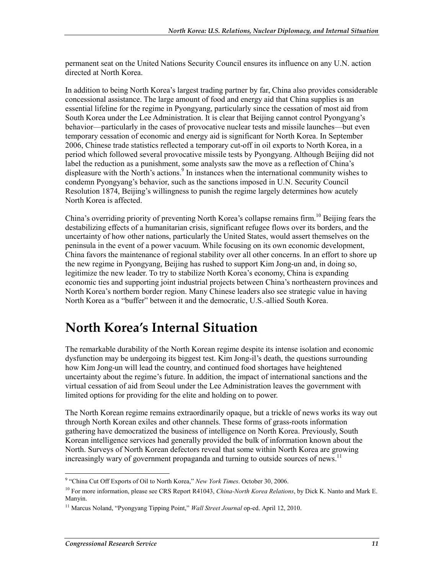permanent seat on the United Nations Security Council ensures its influence on any U.N. action directed at North Korea.

In addition to being North Korea's largest trading partner by far, China also provides considerable concessional assistance. The large amount of food and energy aid that China supplies is an essential lifeline for the regime in Pyongyang, particularly since the cessation of most aid from South Korea under the Lee Administration. It is clear that Beijing cannot control Pyongyang's behavior—particularly in the cases of provocative nuclear tests and missile launches—but even temporary cessation of economic and energy aid is significant for North Korea. In September 2006, Chinese trade statistics reflected a temporary cut-off in oil exports to North Korea, in a period which followed several provocative missile tests by Pyongyang. Although Beijing did not label the reduction as a punishment, some analysts saw the move as a reflection of China's displeasure with the North's actions.<sup>9</sup> In instances when the international community wishes to condemn Pyongyang's behavior, such as the sanctions imposed in U.N. Security Council Resolution 1874, Beijing's willingness to punish the regime largely determines how acutely North Korea is affected.

China's overriding priority of preventing North Korea's collapse remains firm.<sup>10</sup> Beijing fears the destabilizing effects of a humanitarian crisis, significant refugee flows over its borders, and the uncertainty of how other nations, particularly the United States, would assert themselves on the peninsula in the event of a power vacuum. While focusing on its own economic development, China favors the maintenance of regional stability over all other concerns. In an effort to shore up the new regime in Pyongyang, Beijing has rushed to support Kim Jong-un and, in doing so, legitimize the new leader. To try to stabilize North Korea's economy, China is expanding economic ties and supporting joint industrial projects between China's northeastern provinces and North Korea's northern border region. Many Chinese leaders also see strategic value in having North Korea as a "buffer" between it and the democratic, U.S.-allied South Korea.

## **North Korea's Internal Situation**

The remarkable durability of the North Korean regime despite its intense isolation and economic dysfunction may be undergoing its biggest test. Kim Jong-il's death, the questions surrounding how Kim Jong-un will lead the country, and continued food shortages have heightened uncertainty about the regime's future. In addition, the impact of international sanctions and the virtual cessation of aid from Seoul under the Lee Administration leaves the government with limited options for providing for the elite and holding on to power.

The North Korean regime remains extraordinarily opaque, but a trickle of news works its way out through North Korean exiles and other channels. These forms of grass-roots information gathering have democratized the business of intelligence on North Korea. Previously, South Korean intelligence services had generally provided the bulk of information known about the North. Surveys of North Korean defectors reveal that some within North Korea are growing increasingly wary of government propaganda and turning to outside sources of news.<sup>11</sup>

<sup>&</sup>lt;sup>9</sup> "China Cut Off Exports of Oil to North Korea," *New York Times*. October 30, 2006.

<sup>10</sup> For more information, please see CRS Report R41043, *China-North Korea Relations*, by Dick K. Nanto and Mark E. Manyin.

<sup>11</sup> Marcus Noland, "Pyongyang Tipping Point," *Wall Street Journal* op-ed. April 12, 2010.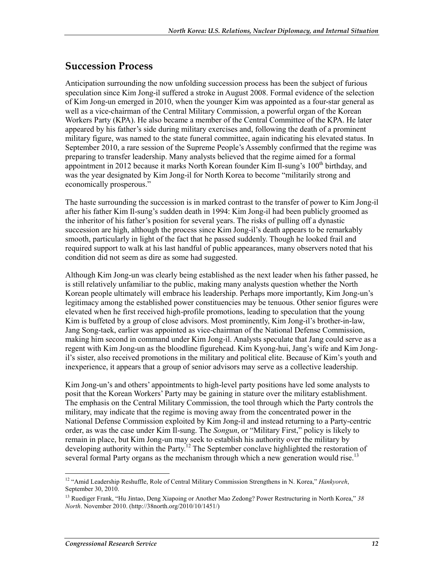#### **Succession Process**

Anticipation surrounding the now unfolding succession process has been the subject of furious speculation since Kim Jong-il suffered a stroke in August 2008. Formal evidence of the selection of Kim Jong-un emerged in 2010, when the younger Kim was appointed as a four-star general as well as a vice-chairman of the Central Military Commission, a powerful organ of the Korean Workers Party (KPA). He also became a member of the Central Committee of the KPA. He later appeared by his father's side during military exercises and, following the death of a prominent military figure, was named to the state funeral committee, again indicating his elevated status. In September 2010, a rare session of the Supreme People's Assembly confirmed that the regime was preparing to transfer leadership. Many analysts believed that the regime aimed for a formal appointment in 2012 because it marks North Korean founder Kim Il-sung's  $100<sup>th</sup>$  birthday, and was the year designated by Kim Jong-il for North Korea to become "militarily strong and economically prosperous."

The haste surrounding the succession is in marked contrast to the transfer of power to Kim Jong-il after his father Kim Il-sung's sudden death in 1994: Kim Jong-il had been publicly groomed as the inheritor of his father's position for several years. The risks of pulling off a dynastic succession are high, although the process since Kim Jong-il's death appears to be remarkably smooth, particularly in light of the fact that he passed suddenly. Though he looked frail and required support to walk at his last handful of public appearances, many observers noted that his condition did not seem as dire as some had suggested.

Although Kim Jong-un was clearly being established as the next leader when his father passed, he is still relatively unfamiliar to the public, making many analysts question whether the North Korean people ultimately will embrace his leadership. Perhaps more importantly, Kim Jong-un's legitimacy among the established power constituencies may be tenuous. Other senior figures were elevated when he first received high-profile promotions, leading to speculation that the young Kim is buffeted by a group of close advisors. Most prominently, Kim Jong-il's brother-in-law, Jang Song-taek, earlier was appointed as vice-chairman of the National Defense Commission, making him second in command under Kim Jong-il. Analysts speculate that Jang could serve as a regent with Kim Jong-un as the bloodline figurehead. Kim Kyong-hui, Jang's wife and Kim Jongil's sister, also received promotions in the military and political elite. Because of Kim's youth and inexperience, it appears that a group of senior advisors may serve as a collective leadership.

Kim Jong-un's and others' appointments to high-level party positions have led some analysts to posit that the Korean Workers' Party may be gaining in stature over the military establishment. The emphasis on the Central Military Commission, the tool through which the Party controls the military, may indicate that the regime is moving away from the concentrated power in the National Defense Commission exploited by Kim Jong-il and instead returning to a Party-centric order, as was the case under Kim Il-sung. The *Songun*, or "Military First," policy is likely to remain in place, but Kim Jong-un may seek to establish his authority over the military by developing authority within the Party.<sup>12</sup> The September conclave highlighted the restoration of several formal Party organs as the mechanism through which a new generation would rise.<sup>13</sup>

<sup>1</sup> 12 "Amid Leadership Reshuffle, Role of Central Military Commission Strengthens in N. Korea," *Hankyoreh*, September 30, 2010.

<sup>13</sup> Ruediger Frank, "Hu Jintao, Deng Xiapoing or Another Mao Zedong? Power Restructuring in North Korea," *38 North*. November 2010. (http://38north.org/2010/10/1451/)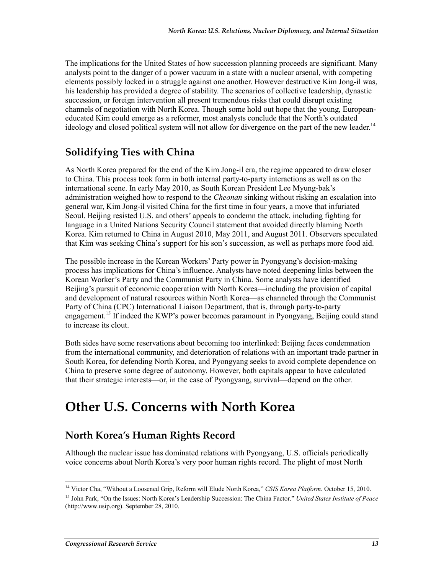The implications for the United States of how succession planning proceeds are significant. Many analysts point to the danger of a power vacuum in a state with a nuclear arsenal, with competing elements possibly locked in a struggle against one another. However destructive Kim Jong-il was, his leadership has provided a degree of stability. The scenarios of collective leadership, dynastic succession, or foreign intervention all present tremendous risks that could disrupt existing channels of negotiation with North Korea. Though some hold out hope that the young, Europeaneducated Kim could emerge as a reformer, most analysts conclude that the North's outdated ideology and closed political system will not allow for divergence on the part of the new leader.<sup>14</sup>

### **Solidifying Ties with China**

As North Korea prepared for the end of the Kim Jong-il era, the regime appeared to draw closer to China. This process took form in both internal party-to-party interactions as well as on the international scene. In early May 2010, as South Korean President Lee Myung-bak's administration weighed how to respond to the *Cheonan* sinking without risking an escalation into general war, Kim Jong-il visited China for the first time in four years, a move that infuriated Seoul. Beijing resisted U.S. and others' appeals to condemn the attack, including fighting for language in a United Nations Security Council statement that avoided directly blaming North Korea. Kim returned to China in August 2010, May 2011, and August 2011. Observers speculated that Kim was seeking China's support for his son's succession, as well as perhaps more food aid.

The possible increase in the Korean Workers' Party power in Pyongyang's decision-making process has implications for China's influence. Analysts have noted deepening links between the Korean Worker's Party and the Communist Party in China. Some analysts have identified Beijing's pursuit of economic cooperation with North Korea—including the provision of capital and development of natural resources within North Korea—as channeled through the Communist Party of China (CPC) International Liaison Department, that is, through party-to-party engagement.<sup>15</sup> If indeed the KWP's power becomes paramount in Pyongyang, Beijing could stand to increase its clout.

Both sides have some reservations about becoming too interlinked: Beijing faces condemnation from the international community, and deterioration of relations with an important trade partner in South Korea, for defending North Korea, and Pyongyang seeks to avoid complete dependence on China to preserve some degree of autonomy. However, both capitals appear to have calculated that their strategic interests—or, in the case of Pyongyang, survival—depend on the other.

## **Other U.S. Concerns with North Korea**

### **North Korea's Human Rights Record**

Although the nuclear issue has dominated relations with Pyongyang, U.S. officials periodically voice concerns about North Korea's very poor human rights record. The plight of most North

<sup>&</sup>lt;sup>14</sup> Victor Cha, "Without a Loosened Grip, Reform will Elude North Korea," *CSIS Korea Platform*. October 15, 2010.

<sup>15</sup> John Park, "On the Issues: North Korea's Leadership Succession: The China Factor." *United States Institute of Peace* (http://www.usip.org). September 28, 2010.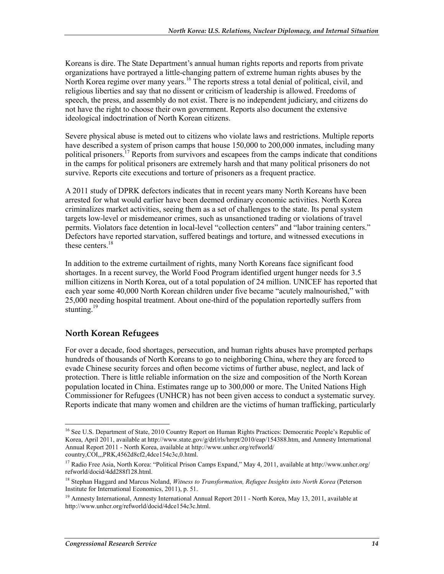Koreans is dire. The State Department's annual human rights reports and reports from private organizations have portrayed a little-changing pattern of extreme human rights abuses by the North Korea regime over many years.<sup>16</sup> The reports stress a total denial of political, civil, and religious liberties and say that no dissent or criticism of leadership is allowed. Freedoms of speech, the press, and assembly do not exist. There is no independent judiciary, and citizens do not have the right to choose their own government. Reports also document the extensive ideological indoctrination of North Korean citizens.

Severe physical abuse is meted out to citizens who violate laws and restrictions. Multiple reports have described a system of prison camps that house 150,000 to 200,000 inmates, including many political prisoners.<sup>17</sup> Reports from survivors and escapees from the camps indicate that conditions in the camps for political prisoners are extremely harsh and that many political prisoners do not survive. Reports cite executions and torture of prisoners as a frequent practice.

A 2011 study of DPRK defectors indicates that in recent years many North Koreans have been arrested for what would earlier have been deemed ordinary economic activities. North Korea criminalizes market activities, seeing them as a set of challenges to the state. Its penal system targets low-level or misdemeanor crimes, such as unsanctioned trading or violations of travel permits. Violators face detention in local-level "collection centers" and "labor training centers." Defectors have reported starvation, suffered beatings and torture, and witnessed executions in these centers<sup>18</sup>

In addition to the extreme curtailment of rights, many North Koreans face significant food shortages. In a recent survey, the World Food Program identified urgent hunger needs for 3.5 million citizens in North Korea, out of a total population of 24 million. UNICEF has reported that each year some 40,000 North Korean children under five became "acutely malnourished," with 25,000 needing hospital treatment. About one-third of the population reportedly suffers from stunting. $19$ 

#### **North Korean Refugees**

1

For over a decade, food shortages, persecution, and human rights abuses have prompted perhaps hundreds of thousands of North Koreans to go to neighboring China, where they are forced to evade Chinese security forces and often become victims of further abuse, neglect, and lack of protection. There is little reliable information on the size and composition of the North Korean population located in China. Estimates range up to 300,000 or more. The United Nations High Commissioner for Refugees (UNHCR) has not been given access to conduct a systematic survey. Reports indicate that many women and children are the victims of human trafficking, particularly

<sup>&</sup>lt;sup>16</sup> See U.S. Department of State, 2010 Country Report on Human Rights Practices: Democratic People's Republic of Korea, April 2011, available at http://www.state.gov/g/drl/rls/hrrpt/2010/eap/154388.htm, and Amnesty International Annual Report 2011 - North Korea, available at http://www.unhcr.org/refworld/ country,COI,,,PRK,4562d8cf2,4dce154c3c,0.html.

<sup>17</sup> Radio Free Asia, North Korea: "Political Prison Camps Expand," May 4, 2011, available at http://www.unhcr.org/ refworld/docid/4dd288f128.html.

<sup>18</sup> Stephan Haggard and Marcus Noland, *Witness to Transformation, Refugee Insights into North Korea* (Peterson Institute for International Economics, 2011), p. 51.

<sup>&</sup>lt;sup>19</sup> Amnesty International, Amnesty International Annual Report 2011 - North Korea, May 13, 2011, available at http://www.unhcr.org/refworld/docid/4dce154c3c.html.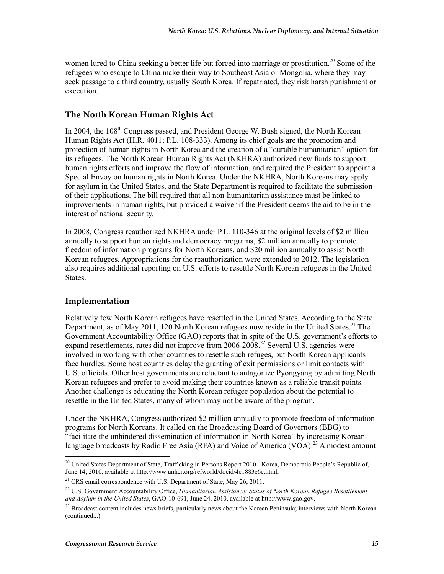women lured to China seeking a better life but forced into marriage or prostitution.<sup>20</sup> Some of the refugees who escape to China make their way to Southeast Asia or Mongolia, where they may seek passage to a third country, usually South Korea. If repatriated, they risk harsh punishment or execution.

#### **The North Korean Human Rights Act**

In 2004, the 108<sup>th</sup> Congress passed, and President George W. Bush signed, the North Korean Human Rights Act (H.R. 4011; P.L. 108-333). Among its chief goals are the promotion and protection of human rights in North Korea and the creation of a "durable humanitarian" option for its refugees. The North Korean Human Rights Act (NKHRA) authorized new funds to support human rights efforts and improve the flow of information, and required the President to appoint a Special Envoy on human rights in North Korea. Under the NKHRA, North Koreans may apply for asylum in the United States, and the State Department is required to facilitate the submission of their applications. The bill required that all non-humanitarian assistance must be linked to improvements in human rights, but provided a waiver if the President deems the aid to be in the interest of national security.

In 2008, Congress reauthorized NKHRA under P.L. 110-346 at the original levels of \$2 million annually to support human rights and democracy programs, \$2 million annually to promote freedom of information programs for North Koreans, and \$20 million annually to assist North Korean refugees. Appropriations for the reauthorization were extended to 2012. The legislation also requires additional reporting on U.S. efforts to resettle North Korean refugees in the United States.

#### **Implementation**

Relatively few North Korean refugees have resettled in the United States. According to the State Department, as of May 2011, 120 North Korean refugees now reside in the United States.<sup>21</sup> The Government Accountability Office (GAO) reports that in spite of the U.S. government's efforts to expand resettlements, rates did not improve from 2006-2008.<sup>22</sup> Several U.S. agencies were involved in working with other countries to resettle such refuges, but North Korean applicants face hurdles. Some host countries delay the granting of exit permissions or limit contacts with U.S. officials. Other host governments are reluctant to antagonize Pyongyang by admitting North Korean refugees and prefer to avoid making their countries known as a reliable transit points. Another challenge is educating the North Korean refugee population about the potential to resettle in the United States, many of whom may not be aware of the program.

Under the NKHRA, Congress authorized \$2 million annually to promote freedom of information programs for North Koreans. It called on the Broadcasting Board of Governors (BBG) to "facilitate the unhindered dissemination of information in North Korea" by increasing Koreanlanguage broadcasts by Radio Free Asia (RFA) and Voice of America (VOA).<sup>23</sup> A modest amount

<sup>1</sup> <sup>20</sup> United States Department of State, Trafficking in Persons Report 2010 - Korea, Democratic People's Republic of, June 14, 2010, available at http://www.unhcr.org/refworld/docid/4c1883e6c.html.

<sup>&</sup>lt;sup>21</sup> CRS email correspondence with U.S. Department of State, May 26, 2011.

<sup>22</sup> U.S. Government Accountability Office, *Humanitarian Assistance: Status of North Korean Refugee Resettlement and Asylum in the United States*, GAO-10-691, June 24, 2010, available at http://www.gao.gov.

 $^{23}$  Broadcast content includes news briefs, particularly news about the Korean Peninsula; interviews with North Korean (continued...)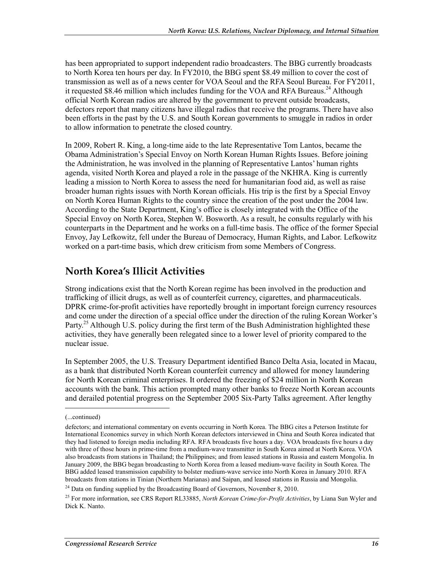has been appropriated to support independent radio broadcasters. The BBG currently broadcasts to North Korea ten hours per day. In FY2010, the BBG spent \$8.49 million to cover the cost of transmission as well as of a news center for VOA Seoul and the RFA Seoul Bureau. For FY2011, it requested \$8.46 million which includes funding for the VOA and RFA Bureaus.<sup>24</sup> Although official North Korean radios are altered by the government to prevent outside broadcasts, defectors report that many citizens have illegal radios that receive the programs. There have also been efforts in the past by the U.S. and South Korean governments to smuggle in radios in order to allow information to penetrate the closed country.

In 2009, Robert R. King, a long-time aide to the late Representative Tom Lantos, became the Obama Administration's Special Envoy on North Korean Human Rights Issues. Before joining the Administration, he was involved in the planning of Representative Lantos' human rights agenda, visited North Korea and played a role in the passage of the NKHRA. King is currently leading a mission to North Korea to assess the need for humanitarian food aid, as well as raise broader human rights issues with North Korean officials. His trip is the first by a Special Envoy on North Korea Human Rights to the country since the creation of the post under the 2004 law. According to the State Department, King's office is closely integrated with the Office of the Special Envoy on North Korea, Stephen W. Bosworth. As a result, he consults regularly with his counterparts in the Department and he works on a full-time basis. The office of the former Special Envoy, Jay Lefkowitz, fell under the Bureau of Democracy, Human Rights, and Labor. Lefkowitz worked on a part-time basis, which drew criticism from some Members of Congress.

#### **North Korea's Illicit Activities**

Strong indications exist that the North Korean regime has been involved in the production and trafficking of illicit drugs, as well as of counterfeit currency, cigarettes, and pharmaceuticals. DPRK crime-for-profit activities have reportedly brought in important foreign currency resources and come under the direction of a special office under the direction of the ruling Korean Worker's Party.<sup>25</sup> Although U.S. policy during the first term of the Bush Administration highlighted these activities, they have generally been relegated since to a lower level of priority compared to the nuclear issue.

In September 2005, the U.S. Treasury Department identified Banco Delta Asia, located in Macau, as a bank that distributed North Korean counterfeit currency and allowed for money laundering for North Korean criminal enterprises. It ordered the freezing of \$24 million in North Korean accounts with the bank. This action prompted many other banks to freeze North Korean accounts and derailed potential progress on the September 2005 Six-Party Talks agreement. After lengthy

<sup>(...</sup>continued)

defectors; and international commentary on events occurring in North Korea. The BBG cites a Peterson Institute for International Economics survey in which North Korean defectors interviewed in China and South Korea indicated that they had listened to foreign media including RFA. RFA broadcasts five hours a day. VOA broadcasts five hours a day with three of those hours in prime-time from a medium-wave transmitter in South Korea aimed at North Korea. VOA also broadcasts from stations in Thailand; the Philippines; and from leased stations in Russia and eastern Mongolia. In January 2009, the BBG began broadcasting to North Korea from a leased medium-wave facility in South Korea. The BBG added leased transmission capability to bolster medium-wave service into North Korea in January 2010. RFA broadcasts from stations in Tinian (Northern Marianas) and Saipan, and leased stations in Russia and Mongolia.

<sup>&</sup>lt;sup>24</sup> Data on funding supplied by the Broadcasting Board of Governors, November 8, 2010.

<sup>25</sup> For more information, see CRS Report RL33885, *North Korean Crime-for-Profit Activities*, by Liana Sun Wyler and Dick K. Nanto.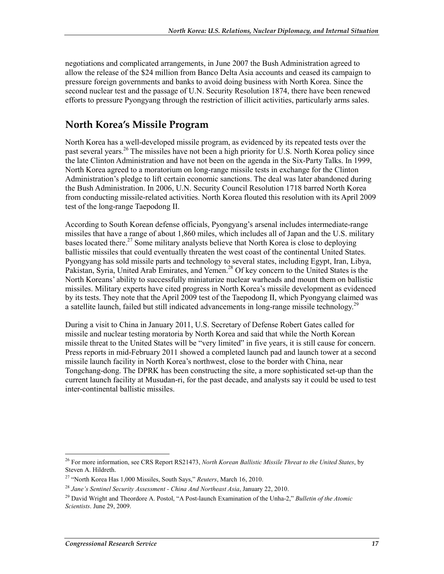negotiations and complicated arrangements, in June 2007 the Bush Administration agreed to allow the release of the \$24 million from Banco Delta Asia accounts and ceased its campaign to pressure foreign governments and banks to avoid doing business with North Korea. Since the second nuclear test and the passage of U.N. Security Resolution 1874, there have been renewed efforts to pressure Pyongyang through the restriction of illicit activities, particularly arms sales.

### **North Korea's Missile Program**

North Korea has a well-developed missile program, as evidenced by its repeated tests over the past several years.26 The missiles have not been a high priority for U.S. North Korea policy since the late Clinton Administration and have not been on the agenda in the Six-Party Talks. In 1999, North Korea agreed to a moratorium on long-range missile tests in exchange for the Clinton Administration's pledge to lift certain economic sanctions. The deal was later abandoned during the Bush Administration. In 2006, U.N. Security Council Resolution 1718 barred North Korea from conducting missile-related activities. North Korea flouted this resolution with its April 2009 test of the long-range Taepodong II.

According to South Korean defense officials, Pyongyang's arsenal includes intermediate-range missiles that have a range of about 1,860 miles, which includes all of Japan and the U.S. military bases located there.<sup>27</sup> Some military analysts believe that North Korea is close to deploying ballistic missiles that could eventually threaten the west coast of the continental United States. Pyongyang has sold missile parts and technology to several states, including Egypt, Iran, Libya, Pakistan, Syria, United Arab Emirates, and Yemen.<sup>28</sup> Of key concern to the United States is the North Koreans' ability to successfully miniaturize nuclear warheads and mount them on ballistic missiles. Military experts have cited progress in North Korea's missile development as evidenced by its tests. They note that the April 2009 test of the Taepodong II, which Pyongyang claimed was a satellite launch, failed but still indicated advancements in long-range missile technology.<sup>29</sup>

During a visit to China in January 2011, U.S. Secretary of Defense Robert Gates called for missile and nuclear testing moratoria by North Korea and said that while the North Korean missile threat to the United States will be "very limited" in five years, it is still cause for concern. Press reports in mid-February 2011 showed a completed launch pad and launch tower at a second missile launch facility in North Korea's northwest, close to the border with China, near Tongchang-dong. The DPRK has been constructing the site, a more sophisticated set-up than the current launch facility at Musudan-ri, for the past decade, and analysts say it could be used to test inter-continental ballistic missiles.

<sup>1</sup> 26 For more information, see CRS Report RS21473, *North Korean Ballistic Missile Threat to the United States*, by Steven A. Hildreth.

<sup>27 &</sup>quot;North Korea Has 1,000 Missiles, South Says," *Reuters*, March 16, 2010.

<sup>28</sup> *Jane's Sentinel Security Assessment - China And Northeast Asia*, January 22, 2010.

<sup>29</sup> David Wright and Theordore A. Postol, "A Post-launch Examination of the Unha-2," *Bulletin of the Atomic Scientists*. June 29, 2009.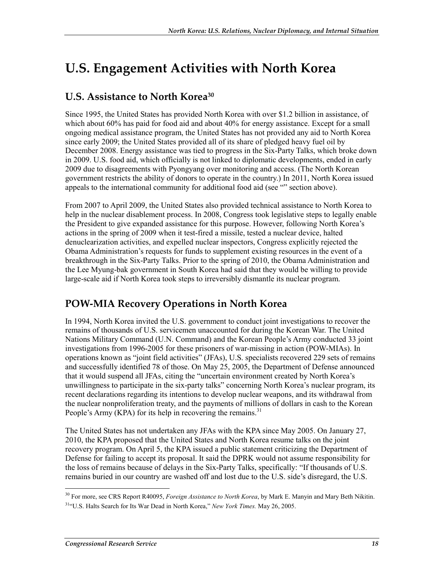# **U.S. Engagement Activities with North Korea**

### **U.S. Assistance to North Korea30**

Since 1995, the United States has provided North Korea with over \$1.2 billion in assistance, of which about 60% has paid for food aid and about 40% for energy assistance. Except for a small ongoing medical assistance program, the United States has not provided any aid to North Korea since early 2009; the United States provided all of its share of pledged heavy fuel oil by December 2008. Energy assistance was tied to progress in the Six-Party Talks, which broke down in 2009. U.S. food aid, which officially is not linked to diplomatic developments, ended in early 2009 due to disagreements with Pyongyang over monitoring and access. (The North Korean government restricts the ability of donors to operate in the country.) In 2011, North Korea issued appeals to the international community for additional food aid (see "" section above).

From 2007 to April 2009, the United States also provided technical assistance to North Korea to help in the nuclear disablement process. In 2008, Congress took legislative steps to legally enable the President to give expanded assistance for this purpose. However, following North Korea's actions in the spring of 2009 when it test-fired a missile, tested a nuclear device, halted denuclearization activities, and expelled nuclear inspectors, Congress explicitly rejected the Obama Administration's requests for funds to supplement existing resources in the event of a breakthrough in the Six-Party Talks. Prior to the spring of 2010, the Obama Administration and the Lee Myung-bak government in South Korea had said that they would be willing to provide large-scale aid if North Korea took steps to irreversibly dismantle its nuclear program.

### **POW-MIA Recovery Operations in North Korea**

In 1994, North Korea invited the U.S. government to conduct joint investigations to recover the remains of thousands of U.S. servicemen unaccounted for during the Korean War. The United Nations Military Command (U.N. Command) and the Korean People's Army conducted 33 joint investigations from 1996-2005 for these prisoners of war-missing in action (POW-MIAs). In operations known as "joint field activities" (JFAs), U.S. specialists recovered 229 sets of remains and successfully identified 78 of those. On May 25, 2005, the Department of Defense announced that it would suspend all JFAs, citing the "uncertain environment created by North Korea's unwillingness to participate in the six-party talks" concerning North Korea's nuclear program, its recent declarations regarding its intentions to develop nuclear weapons, and its withdrawal from the nuclear nonproliferation treaty, and the payments of millions of dollars in cash to the Korean People's Army (KPA) for its help in recovering the remains.<sup>31</sup>

The United States has not undertaken any JFAs with the KPA since May 2005. On January 27, 2010, the KPA proposed that the United States and North Korea resume talks on the joint recovery program. On April 5, the KPA issued a public statement criticizing the Department of Defense for failing to accept its proposal. It said the DPRK would not assume responsibility for the loss of remains because of delays in the Six-Party Talks, specifically: "If thousands of U.S. remains buried in our country are washed off and lost due to the U.S. side's disregard, the U.S.

<sup>1</sup> 30 For more, see CRS Report R40095, *Foreign Assistance to North Korea*, by Mark E. Manyin and Mary Beth Nikitin. <sup>31"</sup>U.S. Halts Search for Its War Dead in North Korea," *New York Times*. May 26, 2005.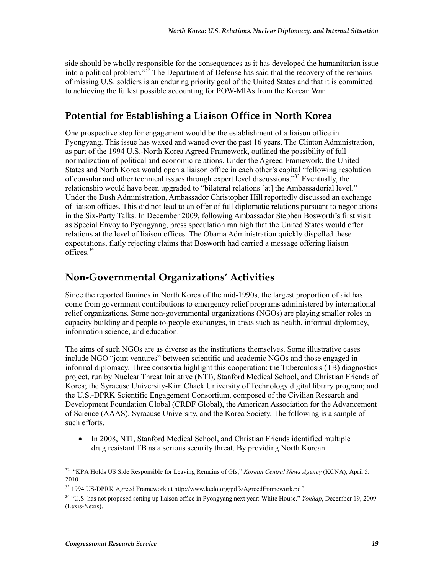side should be wholly responsible for the consequences as it has developed the humanitarian issue into a political problem."32 The Department of Defense has said that the recovery of the remains of missing U.S. soldiers is an enduring priority goal of the United States and that it is committed to achieving the fullest possible accounting for POW-MIAs from the Korean War.

### **Potential for Establishing a Liaison Office in North Korea**

One prospective step for engagement would be the establishment of a liaison office in Pyongyang. This issue has waxed and waned over the past 16 years. The Clinton Administration, as part of the 1994 U.S.-North Korea Agreed Framework, outlined the possibility of full normalization of political and economic relations. Under the Agreed Framework, the United States and North Korea would open a liaison office in each other's capital "following resolution of consular and other technical issues through expert level discussions."<sup>33</sup> Eventually, the relationship would have been upgraded to "bilateral relations [at] the Ambassadorial level." Under the Bush Administration, Ambassador Christopher Hill reportedly discussed an exchange of liaison offices. This did not lead to an offer of full diplomatic relations pursuant to negotiations in the Six-Party Talks. In December 2009, following Ambassador Stephen Bosworth's first visit as Special Envoy to Pyongyang, press speculation ran high that the United States would offer relations at the level of liaison offices. The Obama Administration quickly dispelled these expectations, flatly rejecting claims that Bosworth had carried a message offering liaison offices.<sup>34</sup>

### **Non-Governmental Organizations' Activities**

Since the reported famines in North Korea of the mid-1990s, the largest proportion of aid has come from government contributions to emergency relief programs administered by international relief organizations. Some non-governmental organizations (NGOs) are playing smaller roles in capacity building and people-to-people exchanges, in areas such as health, informal diplomacy, information science, and education.

The aims of such NGOs are as diverse as the institutions themselves. Some illustrative cases include NGO "joint ventures" between scientific and academic NGOs and those engaged in informal diplomacy. Three consortia highlight this cooperation: the Tuberculosis (TB) diagnostics project, run by Nuclear Threat Initiative (NTI), Stanford Medical School, and Christian Friends of Korea; the Syracuse University-Kim Chaek University of Technology digital library program; and the U.S.-DPRK Scientific Engagement Consortium, composed of the Civilian Research and Development Foundation Global (CRDF Global), the American Association for the Advancement of Science (AAAS), Syracuse University, and the Korea Society. The following is a sample of such efforts.

• In 2008, NTI, Stanford Medical School, and Christian Friends identified multiple drug resistant TB as a serious security threat. By providing North Korean

<sup>1</sup> 32 "KPA Holds US Side Responsible for Leaving Remains of GIs," *Korean Central News Agency* (KCNA), April 5, 2010.

<sup>33 1994</sup> US-DPRK Agreed Framework at http://www.kedo.org/pdfs/AgreedFramework.pdf.

<sup>34 &</sup>quot;U.S. has not proposed setting up liaison office in Pyongyang next year: White House." *Yonhap*, December 19, 2009 (Lexis-Nexis).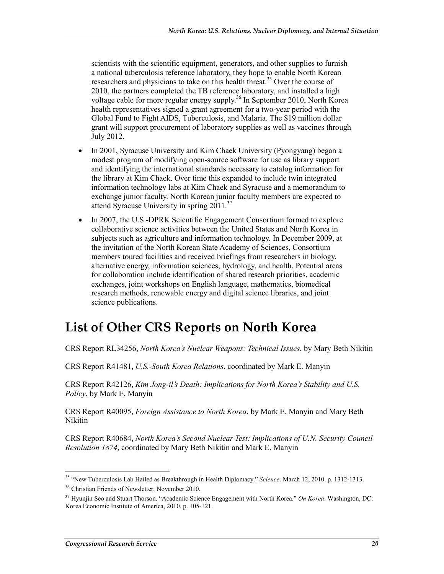scientists with the scientific equipment, generators, and other supplies to furnish a national tuberculosis reference laboratory, they hope to enable North Korean researchers and physicians to take on this health threat.<sup>35</sup> Over the course of 2010, the partners completed the TB reference laboratory, and installed a high voltage cable for more regular energy supply.<sup>36</sup> In September 2010, North Korea health representatives signed a grant agreement for a two-year period with the Global Fund to Fight AIDS, Tuberculosis, and Malaria. The \$19 million dollar grant will support procurement of laboratory supplies as well as vaccines through July 2012.

- In 2001, Syracuse University and Kim Chaek University (Pyongyang) began a modest program of modifying open-source software for use as library support and identifying the international standards necessary to catalog information for the library at Kim Chaek. Over time this expanded to include twin integrated information technology labs at Kim Chaek and Syracuse and a memorandum to exchange junior faculty. North Korean junior faculty members are expected to attend Syracuse University in spring 2011.<sup>37</sup>
- In 2007, the U.S.-DPRK Scientific Engagement Consortium formed to explore collaborative science activities between the United States and North Korea in subjects such as agriculture and information technology. In December 2009, at the invitation of the North Korean State Academy of Sciences, Consortium members toured facilities and received briefings from researchers in biology, alternative energy, information sciences, hydrology, and health. Potential areas for collaboration include identification of shared research priorities, academic exchanges, joint workshops on English language, mathematics, biomedical research methods, renewable energy and digital science libraries, and joint science publications.

## **List of Other CRS Reports on North Korea**

CRS Report RL34256, *North Korea's Nuclear Weapons: Technical Issues*, by Mary Beth Nikitin

CRS Report R41481, *U.S.-South Korea Relations*, coordinated by Mark E. Manyin

CRS Report R42126, *Kim Jong-il's Death: Implications for North Korea's Stability and U.S. Policy*, by Mark E. Manyin

CRS Report R40095, *Foreign Assistance to North Korea*, by Mark E. Manyin and Mary Beth Nikitin

CRS Report R40684, *North Korea's Second Nuclear Test: Implications of U.N. Security Council Resolution 1874*, coordinated by Mary Beth Nikitin and Mark E. Manyin

<sup>35 &</sup>quot;New Tuberculosis Lab Hailed as Breakthrough in Health Diplomacy." *Science*. March 12, 2010. p. 1312-1313.

<sup>36</sup> Christian Friends of Newsletter, November 2010.

<sup>37</sup> Hyunjin Seo and Stuart Thorson. "Academic Science Engagement with North Korea." *On Korea*. Washington, DC: Korea Economic Institute of America, 2010. p. 105-121.